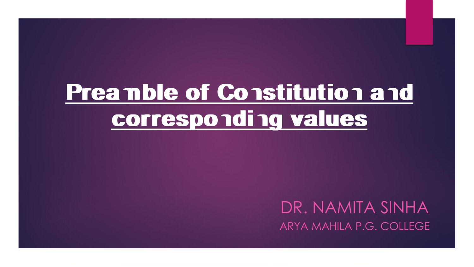# **Preamble of Constitution and corresponding values**

DR. NAMITA SINHA ARYA MAHILA P.G. COLLEGE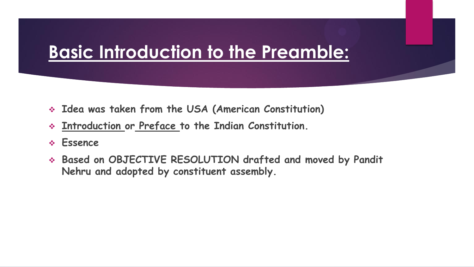## **Basic Introduction to the Preamble:**

- **Idea was taken from the USA (American Constitution)**
- **Introduction or Preface to the Indian Constitution.**
- **Essence**
- **Based on OBJECTIVE RESOLUTION drafted and moved by Pandit Nehru and adopted by constituent assembly.**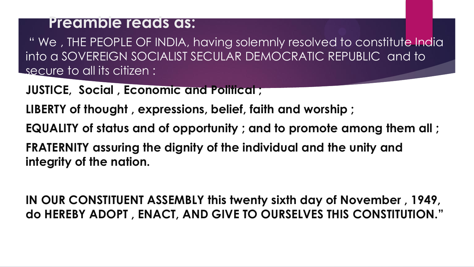#### **Preamble reads as:**

" We , THE PEOPLE OF INDIA, having solemnly resolved to constitute India into a SOVEREIGN SOCIALIST SECULAR DEMOCRATIC REPUBLIC and to secure to all its citizen :

**JUSTICE, Social , Economic and Political ;**

**LIBERTY of thought , expressions, belief, faith and worship ;**

**EQUALITY of status and of opportunity ; and to promote among them all ;**

**FRATERNITY assuring the dignity of the individual and the unity and integrity of the nation.**

**IN OUR CONSTITUENT ASSEMBLY this twenty sixth day of November , 1949, do HEREBY ADOPT , ENACT, AND GIVE TO OURSELVES THIS CONSTITUTION."**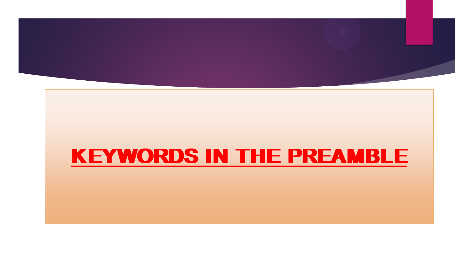

# **KEYWORDS IN THE PREAMBLE**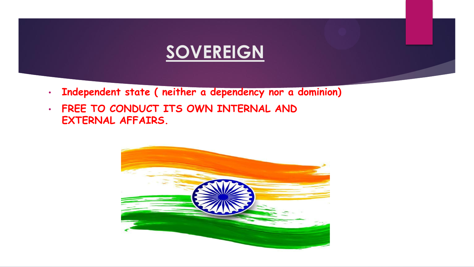### **SOVEREIGN**

- **Independent state ( neither a dependency nor a dominion)**
- **FREE TO CONDUCT ITS OWN INTERNAL AND EXTERNAL AFFAIRS.**

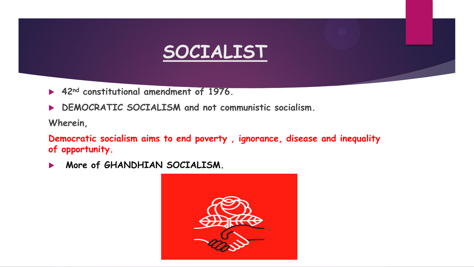# **SOCIALIST**

- **42nd constitutional amendment of 1976.**
- **DEMOCRATIC SOCIALISM and not communistic socialism.**

**Wherein,**

**Democratic socialism aims to end poverty , ignorance, disease and inequality of opportunity.**

**More of GHANDHIAN SOCIALISM.**

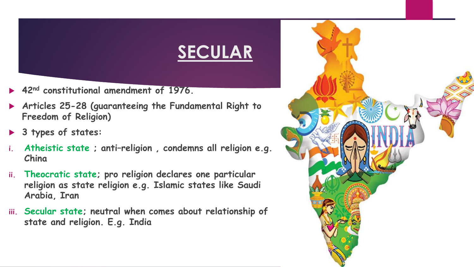# **SECULAR**

- **42nd constitutional amendment of 1976.**
- **Articles 25-28 (guaranteeing the Fundamental Right to Freedom of Religion)**
- **3 types of states:**
- **i. Atheistic state ; anti–religion , condemns all religion e.g. China**
- **ii. Theocratic state; pro religion declares one particular religion as state religion e.g. Islamic states like Saudi Arabia, Iran**
- **iii. Secular state; neutral when comes about relationship of state and religion. E.g. India**

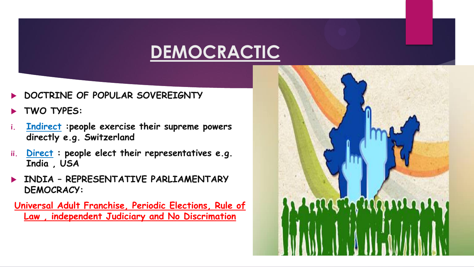# **DEMOCRACTIC**

- **DOCTRINE OF POPULAR SOVEREIGNTY**
- **TWO TYPES:**
- **i. Indirect :people exercise their supreme powers directly e.g. Switzerland**
- **ii. Direct : people elect their representatives e.g. India , USA**
- **INDIA – REPRESENTATIVE PARLIAMENTARY DEMOCRACY:**

**Universal Adult Franchise, Periodic Elections, Rule of Law , independent Judiciary and No Discrimation**

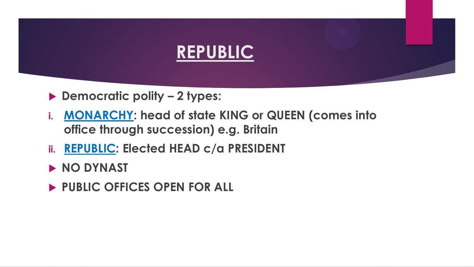

- **Democratic polity – 2 types:**
- **i. MONARCHY: head of state KING or QUEEN (comes into office through succession) e.g. Britain**
- **ii. REPUBLIC: Elected HEAD c/a PRESIDENT**
- **NO DYNAST**
- **PUBLIC OFFICES OPEN FOR ALL**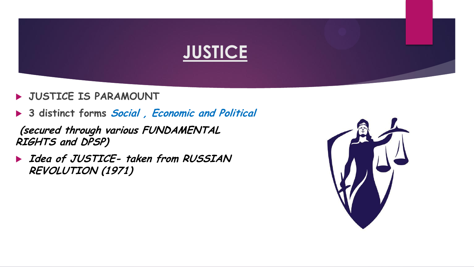

- **JUSTICE IS PARAMOUNT**
- **3 distinct forms Social , Economic and Political**

**(secured through various FUNDAMENTAL RIGHTS and DPSP)**

 **Idea of JUSTICE- taken from RUSSIAN REVOLUTION (1971)**

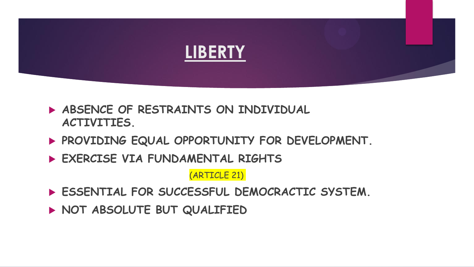

- **ABSENCE OF RESTRAINTS ON INDIVIDUAL ACTIVITIES.**
- **PROVIDING EQUAL OPPORTUNITY FOR DEVELOPMENT.**
- **EXERCISE VIA FUNDAMENTAL RIGHTS**

(ARTICLE 21)

**ESSENTIAL FOR SUCCESSFUL DEMOCRACTIC SYSTEM.**

**NOT ABSOLUTE BUT QUALIFIED**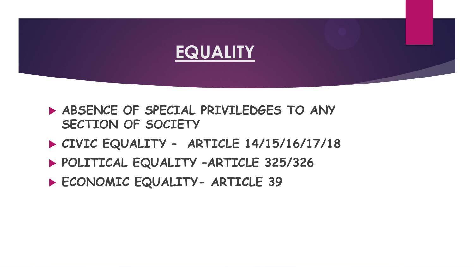

- **ABSENCE OF SPECIAL PRIVILEDGES TO ANY SECTION OF SOCIETY**
- **CIVIC EQUALITY – ARTICLE 14/15/16/17/18**
- **POLITICAL EQUALITY –ARTICLE 325/326**
- **ECONOMIC EQUALITY- ARTICLE 39**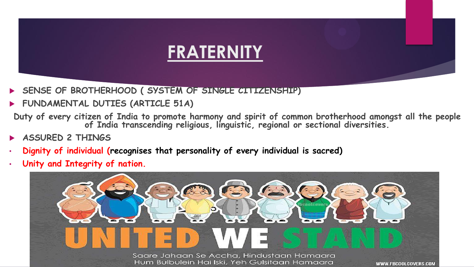

- **SENSE OF BROTHERHOOD ( SYSTEM OF SINGLE CITIZENSHIP)**
- **FUNDAMENTAL DUTIES (ARTICLE 51A)**
- **Duty of every citizen of India to promote harmony and spirit of common brotherhood amongst all the people of India transcending religious, linguistic, regional or sectional diversities.**
- **ASSURED 2 THINGS**
- **Dignity of individual (recognises that personality of every individual is sacred)**
- **Unity and Integrity of nation.**